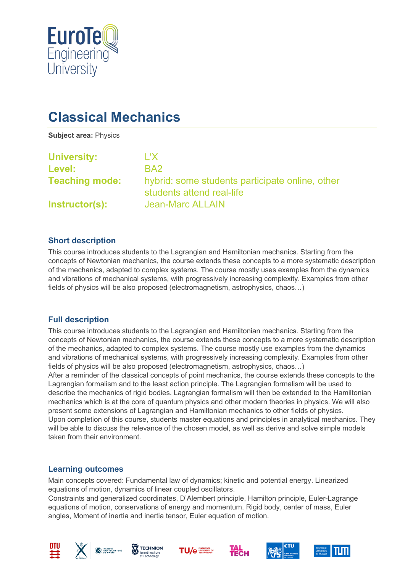

# **Classical Mechanics**

**Subject area:** Physics

| <b>University:</b>    | L'X.                                                                         |
|-----------------------|------------------------------------------------------------------------------|
| Level:                | BA <sub>2</sub>                                                              |
| <b>Teaching mode:</b> | hybrid: some students participate online, other<br>students attend real-life |
| <b>Instructor(s):</b> | <b>Jean-Marc ALLAIN</b>                                                      |

## **Short description**

This course introduces students to the Lagrangian and Hamiltonian mechanics. Starting from the concepts of Newtonian mechanics, the course extends these concepts to a more systematic description of the mechanics, adapted to complex systems. The course mostly uses examples from the dynamics and vibrations of mechanical systems, with progressively increasing complexity. Examples from other fields of physics will be also proposed (electromagnetism, astrophysics, chaos…)

## **Full description**

This course introduces students to the Lagrangian and Hamiltonian mechanics. Starting from the concepts of Newtonian mechanics, the course extends these concepts to a more systematic description of the mechanics, adapted to complex systems. The course mostly use examples from the dynamics and vibrations of mechanical systems, with progressively increasing complexity. Examples from other fields of physics will be also proposed (electromagnetism, astrophysics, chaos…) After a reminder of the classical concepts of point mechanics, the course extends these concepts to the Lagrangian formalism and to the least action principle. The Lagrangian formalism will be used to describe the mechanics of rigid bodies. Lagrangian formalism will then be extended to the Hamiltonian mechanics which is at the core of quantum physics and other modern theories in physics. We will also present some extensions of Lagrangian and Hamiltonian mechanics to other fields of physics. Upon completion of this course, students master equations and principles in analytical mechanics. They will be able to discuss the relevance of the chosen model, as well as derive and solve simple models taken from their environment.

#### **Learning outcomes**

Main concepts covered: Fundamental law of dynamics; kinetic and potential energy. Linearized equations of motion, dynamics of linear coupled oscillators.

Constraints and generalized coordinates, D'Alembert principle, Hamilton principle, Euler-Lagrange equations of motion, conservations of energy and momentum. Rigid body, center of mass, Euler angles, Moment of inertia and inertia tensor, Euler equation of motion.













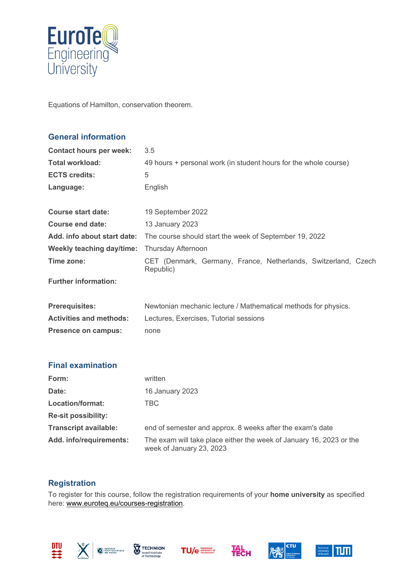

Equations of Hamilton, conservation theorem.

## **General information**

| <b>Contact hours per week:</b>   | 3.5                                                                         |
|----------------------------------|-----------------------------------------------------------------------------|
| <b>Total workload:</b>           | 49 hours + personal work (in student hours for the whole course)            |
| <b>ECTS credits:</b>             | 5                                                                           |
| Language:                        | English                                                                     |
|                                  |                                                                             |
| <b>Course start date:</b>        | 19 September 2022                                                           |
| Course end date:                 | 13 January 2023                                                             |
| Add. info about start date:      | The course should start the week of September 19, 2022                      |
| <b>Weekly teaching day/time:</b> | <b>Thursday Afternoon</b>                                                   |
| Time zone:                       | CET (Denmark, Germany, France, Netherlands, Switzerland, Czech<br>Republic) |
| <b>Further information:</b>      |                                                                             |
|                                  |                                                                             |
| <b>Prerequisites:</b>            | Newtonian mechanic lecture / Mathematical methods for physics.              |
| <b>Activities and methods:</b>   | Lectures, Exercises, Tutorial sessions                                      |
| <b>Presence on campus:</b>       | none                                                                        |
|                                  |                                                                             |
| <b>Final examination</b>         |                                                                             |
| Form:                            | written                                                                     |
| Date:                            | 16 January 2023                                                             |
| Location/format:                 | <b>TBC</b>                                                                  |
| <b>Re-sit possibility:</b>       |                                                                             |
| <b>Transcript available:</b>     | end of semester and approx. 8 weeks after the exam's date                   |
| Add. info/requirements:          | The exam will take place either the week of January 16, 2023 or the         |

# **Registration**

To register for this course, follow the registration requirements of your **home university** as specified here: [www.euroteq.eu/courses-registration.](http://www.euroteq.eu/courses-registration)









week of January 23, 2023